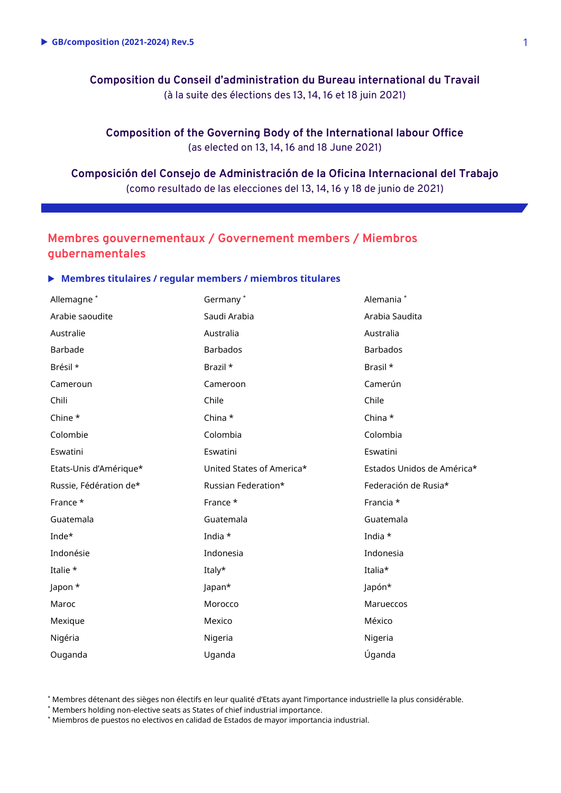**Composition du Conseil d'administration du Bureau international du Travail** (à la suite des élections des 13, 14, 16 et 18 juin 2021)

**Composition of the Governing Body of the International labour Office** (as elected on 13, 14, 16 and 18 June 2021)

**Composición del Consejo de Administración de la Oficina Internacional del Trabajo** (como resultado de las elecciones del 13, 14, 16 y 18 de junio de 2021)

# **Membres gouvernementaux / Governement members / Miembros gubernamentales**

### **Membres titulaires / regular members / miembros titulares**

| Allemagne <sup>*</sup> | Germany*                  | Alemania <sup>*</sup>      |
|------------------------|---------------------------|----------------------------|
| Arabie saoudite        | Saudi Arabia              | Arabia Saudita             |
| Australie              | Australia                 | Australia                  |
| Barbade                | <b>Barbados</b>           | <b>Barbados</b>            |
| Brésil *               | Brazil *                  | Brasil *                   |
| Cameroun               | Cameroon                  | Camerún                    |
| Chili                  | Chile                     | Chile                      |
| Chine *                | China *                   | China *                    |
| Colombie               | Colombia                  | Colombia                   |
| Eswatini               | Eswatini                  | Eswatini                   |
| Etats-Unis d'Amérique* | United States of America* | Estados Unidos de América* |
| Russie, Fédération de* | Russian Federation*       | Federación de Rusia*       |
| France *               | France *                  | Francia *                  |
| Guatemala              | Guatemala                 | Guatemala                  |
| Inde*                  | India *                   | India *                    |
| Indonésie              | Indonesia                 | Indonesia                  |
| Italie *               | Italy*                    | Italia*                    |
| Japon *                | Japan*                    | Japón*                     |
| Maroc                  | Morocco                   | Marueccos                  |
| Mexique                | Mexico                    | México                     |
| Nigéria                | Nigeria                   | Nigeria                    |
| Ouganda                | Uganda                    | Úganda                     |

\* Membres détenant des sièges non électifs en leur qualité d'Etats ayant l'importance industrielle la plus considérable.

\* Members holding non-elective seats as States of chief industrial importance.

\* Miembros de puestos no electivos en calidad de Estados de mayor importancia industrial.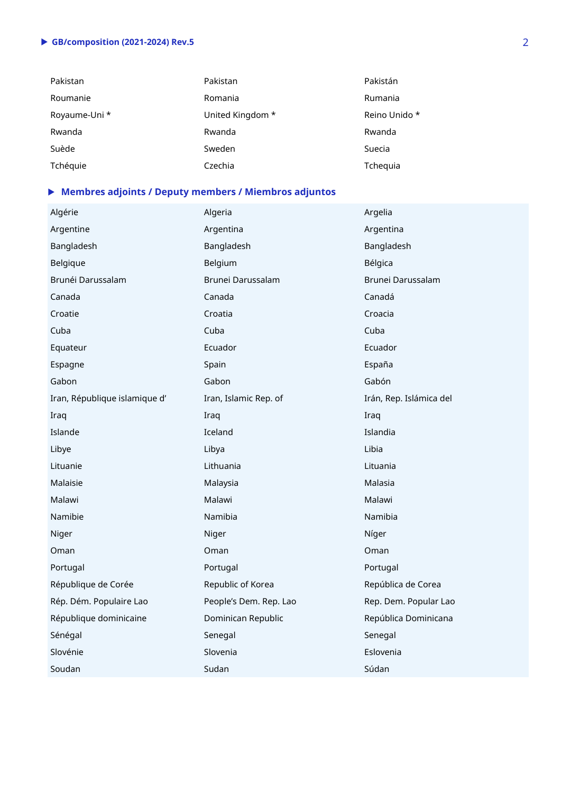# **GB/composition (2021-2024) Rev.5** 2

| Pakistan      | Pakistan         | Pakistán      |
|---------------|------------------|---------------|
| Roumanie      | Romania          | Rumania       |
| Royaume-Uni * | United Kingdom * | Reino Unido * |
| Rwanda        | Rwanda           | Rwanda        |
| Suède         | Sweden           | Suecia        |
| Tchéquie      | Czechia          | Tchequia      |

# **Membres adjoints / Deputy members / Miembros adjuntos**

| Algérie                       | Algeria                | Argelia                 |
|-------------------------------|------------------------|-------------------------|
| Argentine                     | Argentina              | Argentina               |
| Bangladesh                    | Bangladesh             | Bangladesh              |
| Belgique                      | Belgium                | Bélgica                 |
| Brunéi Darussalam             | Brunei Darussalam      | Brunei Darussalam       |
| Canada                        | Canada                 | Canadá                  |
| Croatie                       | Croatia                | Croacia                 |
| Cuba                          | Cuba                   | Cuba                    |
| Equateur                      | Ecuador                | Ecuador                 |
| Espagne                       | Spain                  | España                  |
| Gabon                         | Gabon                  | Gabón                   |
| Iran, République islamique d' | Iran, Islamic Rep. of  | Irán, Rep. Islámica del |
| Iraq                          | Iraq                   | Iraq                    |
| Islande                       | Iceland                | Islandia                |
| Libye                         | Libya                  | Libia                   |
| Lituanie                      | Lithuania              | Lituania                |
| Malaisie                      | Malaysia               | Malasia                 |
| Malawi                        | Malawi                 | Malawi                  |
| Namibie                       | Namibia                | Namibia                 |
| Niger                         | Niger                  | Níger                   |
| Oman                          | Oman                   | Oman                    |
| Portugal                      | Portugal               | Portugal                |
| République de Corée           | Republic of Korea      | República de Corea      |
| Rép. Dém. Populaire Lao       | People's Dem. Rep. Lao | Rep. Dem. Popular Lao   |
| République dominicaine        | Dominican Republic     | República Dominicana    |
| Sénégal                       | Senegal                | Senegal                 |
| Slovénie                      | Slovenia               | Eslovenia               |
| Soudan                        | Sudan                  | Súdan                   |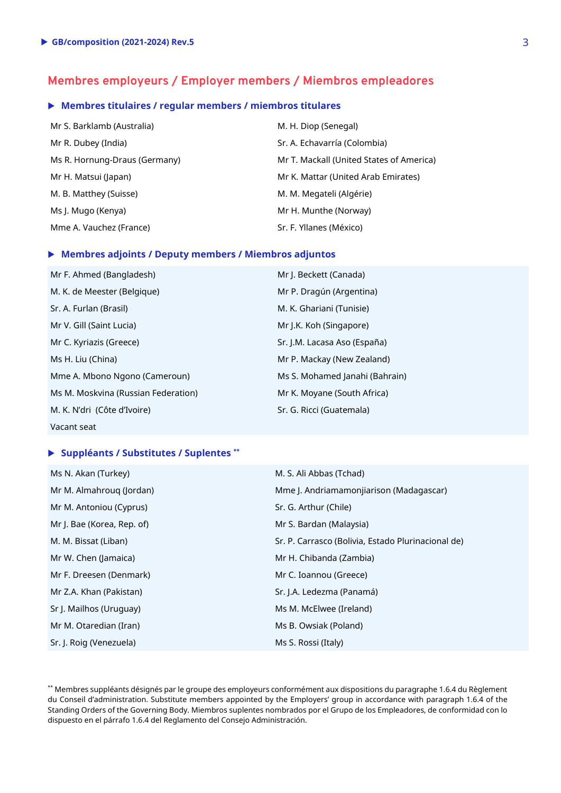# **Membres employeurs / Employer members / Miembros empleadores**

### **Membres titulaires / regular members / miembros titulares**

| Mr S. Barklamb (Australia)    | M. H. Diop (Senegal)                     |
|-------------------------------|------------------------------------------|
| Mr R. Dubey (India)           | Sr. A. Echavarría (Colombia)             |
| Ms R. Hornung-Draus (Germany) | Mr T. Mackall (United States of America) |
| Mr H. Matsui (Japan)          | Mr K. Mattar (United Arab Emirates)      |
| M. B. Matthey (Suisse)        | M. M. Megateli (Algérie)                 |
| Ms J. Mugo (Kenya)            | Mr H. Munthe (Norway)                    |
| Mme A. Vauchez (France)       | Sr. F. Yllanes (México)                  |

#### **Membres adjoints / Deputy members / Miembros adjuntos**

| Mr F. Ahmed (Bangladesh)            | Mr J. Beckett (Canada)         |
|-------------------------------------|--------------------------------|
| M. K. de Meester (Belgique)         | Mr P. Dragún (Argentina)       |
| Sr. A. Furlan (Brasil)              | M. K. Ghariani (Tunisie)       |
| Mr V. Gill (Saint Lucia)            | Mr J.K. Koh (Singapore)        |
| Mr C. Kyriazis (Greece)             | Sr. J.M. Lacasa Aso (España)   |
| Ms H. Liu (China)                   | Mr P. Mackay (New Zealand)     |
| Mme A. Mbono Ngono (Cameroun)       | Ms S. Mohamed Janahi (Bahrain) |
| Ms M. Moskvina (Russian Federation) | Mr K. Moyane (South Africa)    |
| M. K. N'dri (Côte d'Ivoire)         | Sr. G. Ricci (Guatemala)       |
| Vacant seat                         |                                |

#### **Suppléants / Substitutes / Suplentes \*\***

| Ms N. Akan (Turkey)        | M. S. Ali Abbas (Tchad)                            |
|----------------------------|----------------------------------------------------|
| Mr M. Almahroug (Jordan)   | Mme J. Andriamamonjiarison (Madagascar)            |
| Mr M. Antoniou (Cyprus)    | Sr. G. Arthur (Chile)                              |
| Mr J. Bae (Korea, Rep. of) | Mr S. Bardan (Malaysia)                            |
| M. M. Bissat (Liban)       | Sr. P. Carrasco (Bolivia, Estado Plurinacional de) |
| Mr W. Chen (Jamaica)       | Mr H. Chibanda (Zambia)                            |
| Mr F. Dreesen (Denmark)    | Mr C. Ioannou (Greece)                             |
| Mr Z.A. Khan (Pakistan)    | Sr. J.A. Ledezma (Panamá)                          |
| Sr J. Mailhos (Uruguay)    | Ms M. McElwee (Ireland)                            |
| Mr M. Otaredian (Iran)     | Ms B. Owsiak (Poland)                              |
| Sr. J. Roig (Venezuela)    | Ms S. Rossi (Italy)                                |

\*\* Membres suppléants désignés par le groupe des employeurs conformément aux dispositions du paragraphe 1.6.4 du Règlement du Conseil d'administration. Substitute members appointed by the Employers' group in accordance with paragraph 1.6.4 of the Standing Orders of the Governing Body. Miembros suplentes nombrados por el Grupo de los Empleadores, de conformidad con lo dispuesto en el párrafo 1.6.4 del Reglamento del Consejo Administración.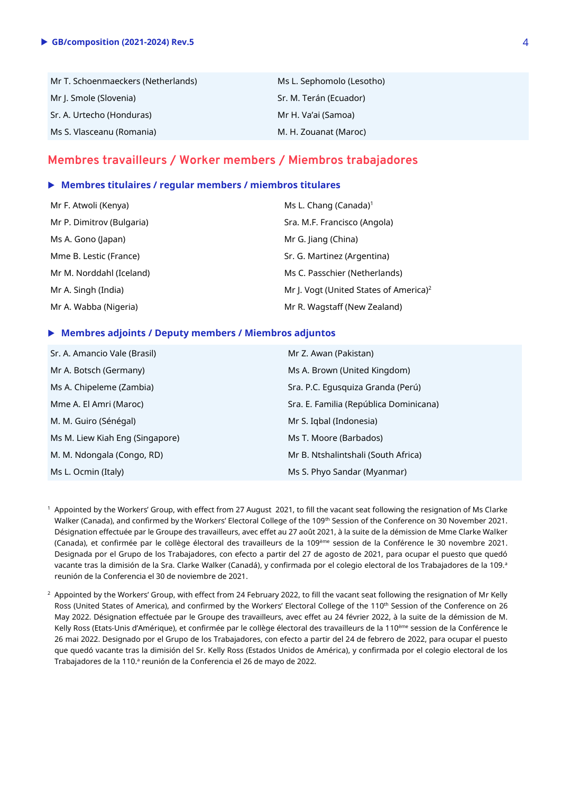| Mr T. Schoenmaeckers (Netherlands) | Ms L. Sephomolo (Lesotho) |
|------------------------------------|---------------------------|
| Mr J. Smole (Slovenia)             | Sr. M. Terán (Ecuador)    |
| Sr. A. Urtecho (Honduras)          | Mr H. Va'ai (Samoa)       |
| Ms S. Vlasceanu (Romania)          | M. H. Zouanat (Maroc)     |

### **Membres travailleurs / Worker members / Miembros trabajadores**

#### **Membres titulaires / regular members / miembros titulares**

| Mr F. Atwoli (Kenya)      | Ms L. Chang (Canada) <sup>1</sup>                  |
|---------------------------|----------------------------------------------------|
| Mr P. Dimitrov (Bulgaria) | Sra. M.F. Francisco (Angola)                       |
| Ms A. Gono (Japan)        | Mr G. Jiang (China)                                |
| Mme B. Lestic (France)    | Sr. G. Martinez (Argentina)                        |
| Mr M. Norddahl (Iceland)  | Ms C. Passchier (Netherlands)                      |
| Mr A. Singh (India)       | Mr J. Vogt (United States of America) <sup>2</sup> |
| Mr A. Wabba (Nigeria)     | Mr R. Wagstaff (New Zealand)                       |

#### **Membres adjoints / Deputy members / Miembros adjuntos**

| Sr. A. Amancio Vale (Brasil)    | Mr Z. Awan (Pakistan)                  |
|---------------------------------|----------------------------------------|
| Mr A. Botsch (Germany)          | Ms A. Brown (United Kingdom)           |
| Ms A. Chipeleme (Zambia)        | Sra. P.C. Equsquiza Granda (Perú)      |
| Mme A. El Amri (Maroc)          | Sra. E. Familia (República Dominicana) |
| M. M. Guiro (Sénégal)           | Mr S. Iqbal (Indonesia)                |
| Ms M. Liew Kiah Eng (Singapore) | Ms T. Moore (Barbados)                 |
| M. M. Ndongala (Congo, RD)      | Mr B. Ntshalintshali (South Africa)    |
| Ms L. Ocmin (Italy)             | Ms S. Phyo Sandar (Myanmar)            |

<sup>1</sup> Appointed by the Workers' Group, with effect from 27 August 2021, to fill the vacant seat following the resignation of Ms Clarke Walker (Canada), and confirmed by the Workers' Electoral College of the 109<sup>th</sup> Session of the Conference on 30 November 2021. Désignation effectuée par le Groupe des travailleurs, avec effet au 27 août 2021, à la suite de la démission de Mme Clarke Walker (Canada), et confirmée par le collège électoral des travailleurs de la 109<sup>ème</sup> session de la Conférence le 30 novembre 2021. Designada por el Grupo de los Trabajadores, con efecto a partir del 27 de agosto de 2021, para ocupar el puesto que quedó vacante tras la dimisión de la Sra. Clarke Walker (Canadá), y confirmada por el colegio electoral de los Trabajadores de la 109.ª reunión de la Conferencia el 30 de noviembre de 2021.

 $2$  Appointed by the Workers' Group, with effect from 24 February 2022, to fill the vacant seat following the resignation of Mr Kelly Ross (United States of America), and confirmed by the Workers' Electoral College of the 110<sup>th</sup> Session of the Conference on 26 May 2022. Désignation effectuée par le Groupe des travailleurs, avec effet au 24 février 2022, à la suite de la démission de M. Kelly Ross (Etats-Unis d'Amérique), et confirmée par le collège électoral des travailleurs de la 110 ème session de la Conférence le 26 mai 2022. Designado por el Grupo de los Trabajadores, con efecto a partir del 24 de febrero de 2022, para ocupar el puesto que quedó vacante tras la dimisión del Sr. Kelly Ross (Estados Unidos de América), y confirmada por el colegio electoral de los Trabajadores de la 110.ª reunión de la Conferencia el 26 de mayo de 2022.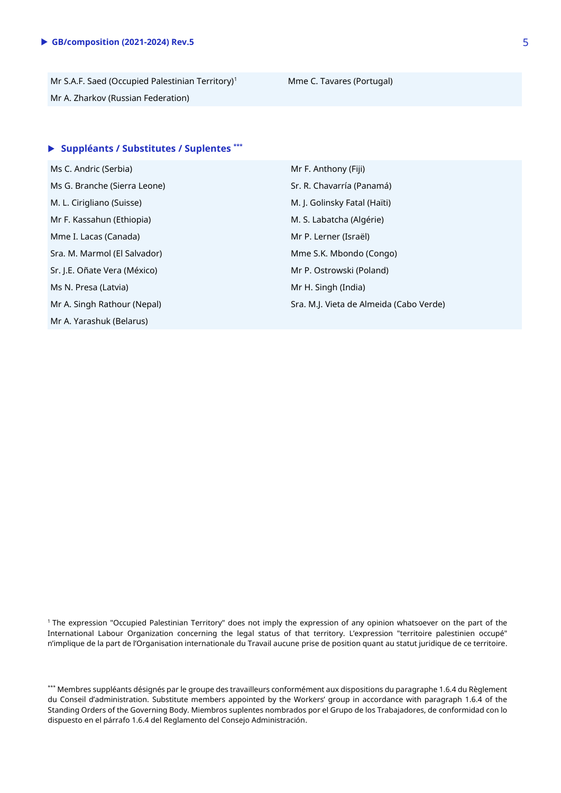Mr S.A.F. Saed (Occupied Palestinian Territory)<sup>1</sup> Mme C. Tavares (Portugal) Mr A. Zharkov (Russian Federation)

### **Suppléants / Substitutes / Suplentes \*\*\***

Ms C. Andric (Serbia) Mr F. Anthony (Fiji) Ms G. Branche (Sierra Leone) Sr. R. Chavarría (Panamá) M. L. Cirigliano (Suisse) M. J. Golinsky Fatal (Haïti) Mr F. Kassahun (Ethiopia) M. S. Labatcha (Algérie) Mme I. Lacas (Canada) Mr P. Lerner (Israël) Sra. M. Marmol (El Salvador) Mme S.K. Mbondo (Congo) Sr. J.E. Oñate Vera (México) Mr P. Ostrowski (Poland) Ms N. Presa (Latvia) Mr H. Singh (India) Mr A. Yarashuk (Belarus)

Mr A. Singh Rathour (Nepal) Sra. M.J. Vieta de Almeida (Cabo Verde)

<sup>1</sup> The expression "Occupied Palestinian Territory" does not imply the expression of any opinion whatsoever on the part of the International Labour Organization concerning the legal status of that territory. L'expression "territoire palestinien occupé" n'implique de la part de l'Organisation internationale du Travail aucune prise de position quant au statut juridique de ce territoire.

\*\*\* Membres suppléants désignés par le groupe des travailleurs conformément aux dispositions du paragraphe 1.6.4 du Règlement du Conseil d'administration. Substitute members appointed by the Workers' group in accordance with paragraph 1.6.4 of the Standing Orders of the Governing Body. Miembros suplentes nombrados por el Grupo de los Trabajadores, de conformidad con lo dispuesto en el párrafo 1.6.4 del Reglamento del Consejo Administración.